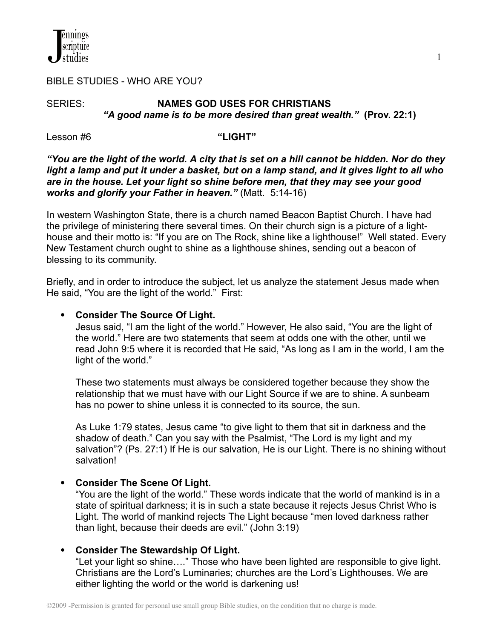

### BIBLE STUDIES - WHO ARE YOU?

# SERIES: **NAMES GOD USES FOR CHRISTIANS** *"A good name is to be more desired than great wealth."* **(Prov. 22:1)**

1

Lesson #6 **"LIGHT"**

## "You are the light of the world. A city that is set on a hill cannot be hidden. Nor do they light a lamp and put it under a basket, but on a lamp stand, and it gives light to all who *are in the house. Let your light so shine before men, that they may see your good works and glorify your Father in heaven."* (Matt. 5:14-16)

In western Washington State, there is a church named Beacon Baptist Church. I have had the privilege of ministering there several times. On their church sign is a picture of a lighthouse and their motto is: "If you are on The Rock, shine like a lighthouse!" Well stated. Every New Testament church ought to shine as a lighthouse shines, sending out a beacon of blessing to its community.

Briefly, and in order to introduce the subject, let us analyze the statement Jesus made when He said, "You are the light of the world." First:

# **Consider The Source Of Light.**

Jesus said, "I am the light of the world." However, He also said, "You are the light of the world." Here are two statements that seem at odds one with the other, until we read John 9:5 where it is recorded that He said, "As long as I am in the world, I am the light of the world."

These two statements must always be considered together because they show the relationship that we must have with our Light Source if we are to shine. A sunbeam has no power to shine unless it is connected to its source, the sun.

As Luke 1:79 states, Jesus came "to give light to them that sit in darkness and the shadow of death." Can you say with the Psalmist, "The Lord is my light and my salvation"? (Ps. 27:1) If He is our salvation, He is our Light. There is no shining without salvation!

# **Consider The Scene Of Light.**

"You are the light of the world." These words indicate that the world of mankind is in a state of spiritual darkness; it is in such a state because it rejects Jesus Christ Who is Light. The world of mankind rejects The Light because "men loved darkness rather than light, because their deeds are evil." (John 3:19)

# **Consider The Stewardship Of Light.**

"Let your light so shine…." Those who have been lighted are responsible to give light. Christians are the Lord's Luminaries; churches are the Lord's Lighthouses. We are either lighting the world or the world is darkening us!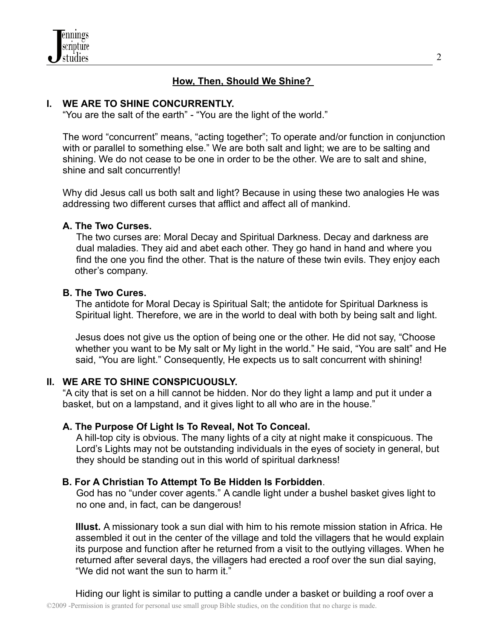

# **How, Then, Should We Shine?**

### **I. WE ARE TO SHINE CONCURRENTLY.**

"You are the salt of the earth" - "You are the light of the world."

The word "concurrent" means, "acting together"; To operate and/or function in conjunction with or parallel to something else." We are both salt and light; we are to be salting and shining. We do not cease to be one in order to be the other. We are to salt and shine, shine and salt concurrently!

Why did Jesus call us both salt and light? Because in using these two analogies He was addressing two different curses that afflict and affect all of mankind.

### **A. The Two Curses.**

The two curses are: Moral Decay and Spiritual Darkness. Decay and darkness are dual maladies. They aid and abet each other. They go hand in hand and where you find the one you find the other. That is the nature of these twin evils. They enjoy each other's company.

### **B. The Two Cures.**

The antidote for Moral Decay is Spiritual Salt; the antidote for Spiritual Darkness is Spiritual light. Therefore, we are in the world to deal with both by being salt and light.

Jesus does not give us the option of being one or the other. He did not say, "Choose whether you want to be My salt or My light in the world." He said, "You are salt" and He said, "You are light." Consequently, He expects us to salt concurrent with shining!

# **II. WE ARE TO SHINE CONSPICUOUSLY.**

"A city that is set on a hill cannot be hidden. Nor do they light a lamp and put it under a basket, but on a lampstand, and it gives light to all who are in the house."

## **A. The Purpose Of Light Is To Reveal, Not To Conceal.**

A hill-top city is obvious. The many lights of a city at night make it conspicuous. The Lord's Lights may not be outstanding individuals in the eyes of society in general, but they should be standing out in this world of spiritual darkness!

### **B. For A Christian To Attempt To Be Hidden Is Forbidden**.

God has no "under cover agents." A candle light under a bushel basket gives light to no one and, in fact, can be dangerous!

**Illust.** A missionary took a sun dial with him to his remote mission station in Africa. He assembled it out in the center of the village and told the villagers that he would explain its purpose and function after he returned from a visit to the outlying villages. When he returned after several days, the villagers had erected a roof over the sun dial saying, "We did not want the sun to harm it."

Hiding our light is similar to putting a candle under a basket or building a roof over a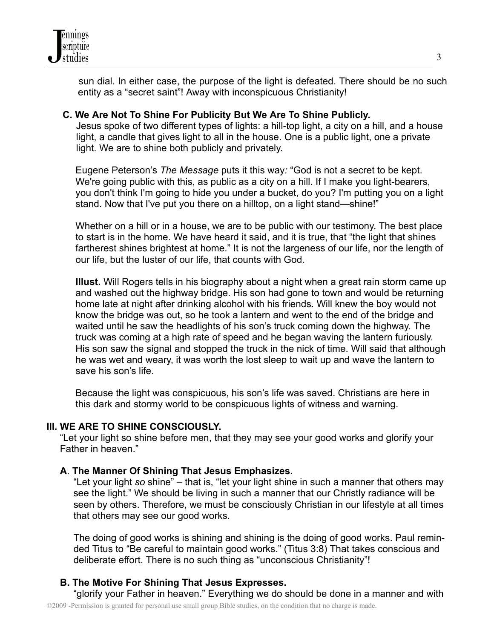

sun dial. In either case, the purpose of the light is defeated. There should be no such entity as a "secret saint"! Away with inconspicuous Christianity!

### **C. We Are Not To Shine For Publicity But We Are To Shine Publicly.**

Jesus spoke of two different types of lights: a hill-top light, a city on a hill, and a house light, a candle that gives light to all in the house. One is a public light, one a private light. We are to shine both publicly and privately.

Eugene Peterson's *The Message* puts it this way*:* "God is not a secret to be kept. We're going public with this, as public as a city on a hill. If I make you light-bearers, you don't think I'm going to hide you under a bucket, do you? I'm putting you on a light stand. Now that I've put you there on a hilltop, on a light stand—shine!"

Whether on a hill or in a house, we are to be public with our testimony. The best place to start is in the home. We have heard it said, and it is true, that "the light that shines fartherest shines brightest at home." It is not the largeness of our life, nor the length of our life, but the luster of our life, that counts with God.

**Illust.** Will Rogers tells in his biography about a night when a great rain storm came up and washed out the highway bridge. His son had gone to town and would be returning home late at night after drinking alcohol with his friends. Will knew the boy would not know the bridge was out, so he took a lantern and went to the end of the bridge and waited until he saw the headlights of his son's truck coming down the highway. The truck was coming at a high rate of speed and he began waving the lantern furiously. His son saw the signal and stopped the truck in the nick of time. Will said that although he was wet and weary, it was worth the lost sleep to wait up and wave the lantern to save his son's life.

Because the light was conspicuous, his son's life was saved. Christians are here in this dark and stormy world to be conspicuous lights of witness and warning.

### **III. WE ARE TO SHINE CONSCIOUSLY.**

"Let your light so shine before men, that they may see your good works and glorify your Father in heaven."

## **A**. **The Manner Of Shining That Jesus Emphasizes.**

"Let your light *so* shine" – that is, "let your light shine in such a manner that others may see the light." We should be living in such a manner that our Christly radiance will be seen by others. Therefore, we must be consciously Christian in our lifestyle at all times that others may see our good works.

The doing of good works is shining and shining is the doing of good works. Paul reminded Titus to "Be careful to maintain good works." (Titus 3:8) That takes conscious and deliberate effort. There is no such thing as "unconscious Christianity"!

## **B. The Motive For Shining That Jesus Expresses.**

"glorify your Father in heaven." Everything we do should be done in a manner and with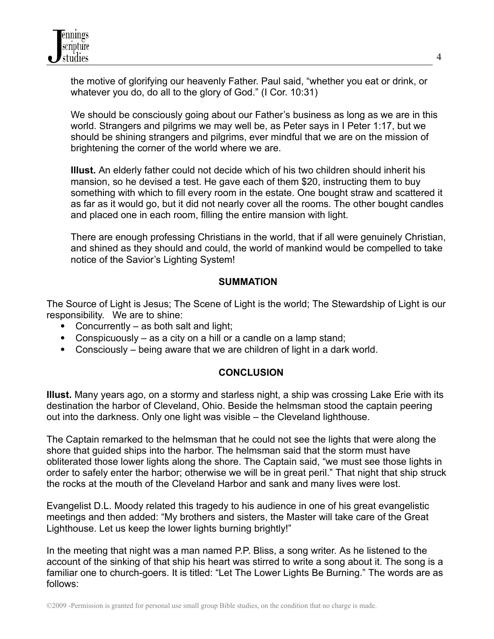the motive of glorifying our heavenly Father. Paul said, "whether you eat or drink, or whatever you do, do all to the glory of God." (I Cor. 10:31)

We should be consciously going about our Father's business as long as we are in this world. Strangers and pilgrims we may well be, as Peter says in I Peter 1:17, but we should be shining strangers and pilgrims, ever mindful that we are on the mission of brightening the corner of the world where we are.

**Illust.** An elderly father could not decide which of his two children should inherit his mansion, so he devised a test. He gave each of them \$20, instructing them to buy something with which to fill every room in the estate. One bought straw and scattered it as far as it would go, but it did not nearly cover all the rooms. The other bought candles and placed one in each room, filling the entire mansion with light.

There are enough professing Christians in the world, that if all were genuinely Christian, and shined as they should and could, the world of mankind would be compelled to take notice of the Savior's Lighting System!

# **SUMMATION**

The Source of Light is Jesus; The Scene of Light is the world; The Stewardship of Light is our responsibility. We are to shine:

- Concurrently as both salt and light;
- Conspicuously as a city on a hill or a candle on a lamp stand;
- Consciously being aware that we are children of light in a dark world.

# **CONCLUSION**

**Illust.** Many years ago, on a stormy and starless night, a ship was crossing Lake Erie with its destination the harbor of Cleveland, Ohio. Beside the helmsman stood the captain peering out into the darkness. Only one light was visible – the Cleveland lighthouse.

The Captain remarked to the helmsman that he could not see the lights that were along the shore that guided ships into the harbor. The helmsman said that the storm must have obliterated those lower lights along the shore. The Captain said, "we must see those lights in order to safely enter the harbor; otherwise we will be in great peril." That night that ship struck the rocks at the mouth of the Cleveland Harbor and sank and many lives were lost.

Evangelist D.L. Moody related this tragedy to his audience in one of his great evangelistic meetings and then added: "My brothers and sisters, the Master will take care of the Great Lighthouse. Let us keep the lower lights burning brightly!"

In the meeting that night was a man named P.P. Bliss, a song writer. As he listened to the account of the sinking of that ship his heart was stirred to write a song about it. The song is a familiar one to church-goers. It is titled: "Let The Lower Lights Be Burning." The words are as follows: